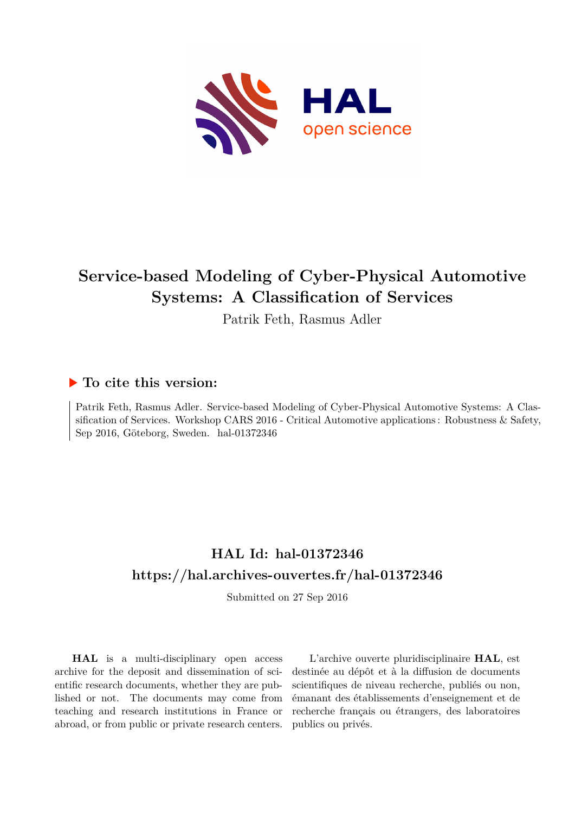

## **Service-based Modeling of Cyber-Physical Automotive Systems: A Classification of Services**

Patrik Feth, Rasmus Adler

### **To cite this version:**

Patrik Feth, Rasmus Adler. Service-based Modeling of Cyber-Physical Automotive Systems: A Classification of Services. Workshop CARS 2016 - Critical Automotive applications : Robustness & Safety, Sep 2016, Göteborg, Sweden. hal-01372346

## **HAL Id: hal-01372346 <https://hal.archives-ouvertes.fr/hal-01372346>**

Submitted on 27 Sep 2016

**HAL** is a multi-disciplinary open access archive for the deposit and dissemination of scientific research documents, whether they are published or not. The documents may come from teaching and research institutions in France or abroad, or from public or private research centers.

L'archive ouverte pluridisciplinaire **HAL**, est destinée au dépôt et à la diffusion de documents scientifiques de niveau recherche, publiés ou non, émanant des établissements d'enseignement et de recherche français ou étrangers, des laboratoires publics ou privés.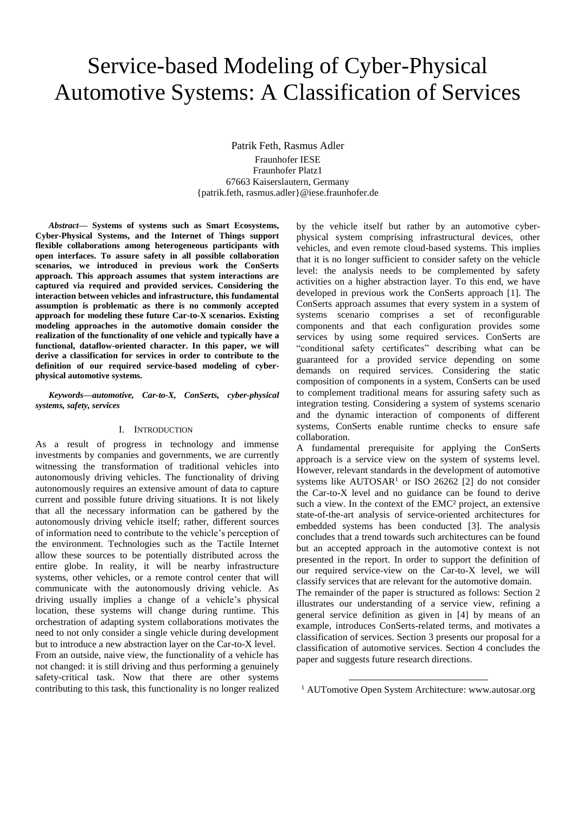# Service-based Modeling of Cyber-Physical Automotive Systems: A Classification of Services

Patrik Feth, Rasmus Adler

Fraunhofer IESE Fraunhofer Platz1 67663 Kaiserslautern, Germany {patrik.feth, rasmus.adler}@iese.fraunhofer.de

*Abstract***— Systems of systems such as Smart Ecosystems, Cyber-Physical Systems, and the Internet of Things support flexible collaborations among heterogeneous participants with open interfaces. To assure safety in all possible collaboration scenarios, we introduced in previous work the ConSerts approach. This approach assumes that system interactions are captured via required and provided services. Considering the interaction between vehicles and infrastructure, this fundamental assumption is problematic as there is no commonly accepted approach for modeling these future Car-to-X scenarios. Existing modeling approaches in the automotive domain consider the realization of the functionality of one vehicle and typically have a functional, dataflow-oriented character. In this paper, we will derive a classification for services in order to contribute to the definition of our required service-based modeling of cyberphysical automotive systems.**

*Keywords—automotive, Car-to-X, ConSerts, cyber-physical systems, safety, services*

#### I. INTRODUCTION

As a result of progress in technology and immense investments by companies and governments, we are currently witnessing the transformation of traditional vehicles into autonomously driving vehicles. The functionality of driving autonomously requires an extensive amount of data to capture current and possible future driving situations. It is not likely that all the necessary information can be gathered by the autonomously driving vehicle itself; rather, different sources of information need to contribute to the vehicle's perception of the environment. Technologies such as the Tactile Internet allow these sources to be potentially distributed across the entire globe. In reality, it will be nearby infrastructure systems, other vehicles, or a remote control center that will communicate with the autonomously driving vehicle. As driving usually implies a change of a vehicle's physical location, these systems will change during runtime. This orchestration of adapting system collaborations motivates the need to not only consider a single vehicle during development but to introduce a new abstraction layer on the Car-to-X level. From an outside, naive view, the functionality of a vehicle has not changed: it is still driving and thus performing a genuinely safety-critical task. Now that there are other systems contributing to this task, this functionality is no longer realized

by the vehicle itself but rather by an automotive cyberphysical system comprising infrastructural devices, other vehicles, and even remote cloud-based systems. This implies that it is no longer sufficient to consider safety on the vehicle level: the analysis needs to be complemented by safety activities on a higher abstraction layer. To this end, we have developed in previous work the ConSerts approach [1]. The ConSerts approach assumes that every system in a system of systems scenario comprises a set of reconfigurable components and that each configuration provides some services by using some required services. ConSerts are "conditional safety certificates" describing what can be guaranteed for a provided service depending on some demands on required services. Considering the static composition of components in a system, ConSerts can be used to complement traditional means for assuring safety such as integration testing. Considering a system of systems scenario and the dynamic interaction of components of different systems, ConSerts enable runtime checks to ensure safe collaboration.

A fundamental prerequisite for applying the ConSerts approach is a service view on the system of systems level. However, relevant standards in the development of automotive systems like  $AUTOSAR<sup>1</sup>$  or ISO 26262 [2] do not consider the Car-to-X level and no guidance can be found to derive such a view. In the context of the EMC² project, an extensive state-of-the-art analysis of service-oriented architectures for embedded systems has been conducted [3]. The analysis concludes that a trend towards such architectures can be found but an accepted approach in the automotive context is not presented in the report. In order to support the definition of our required service-view on the Car-to-X level, we will classify services that are relevant for the automotive domain.

The remainder of the paper is structured as follows: Section 2 illustrates our understanding of a service view, refining a general service definition as given in [4] by means of an example, introduces ConSerts-related terms, and motivates a classification of services. Section 3 presents our proposal for a classification of automotive services. Section 4 concludes the paper and suggests future research directions.

1

<sup>&</sup>lt;sup>1</sup> AUTomotive Open System Architecture: www.autosar.org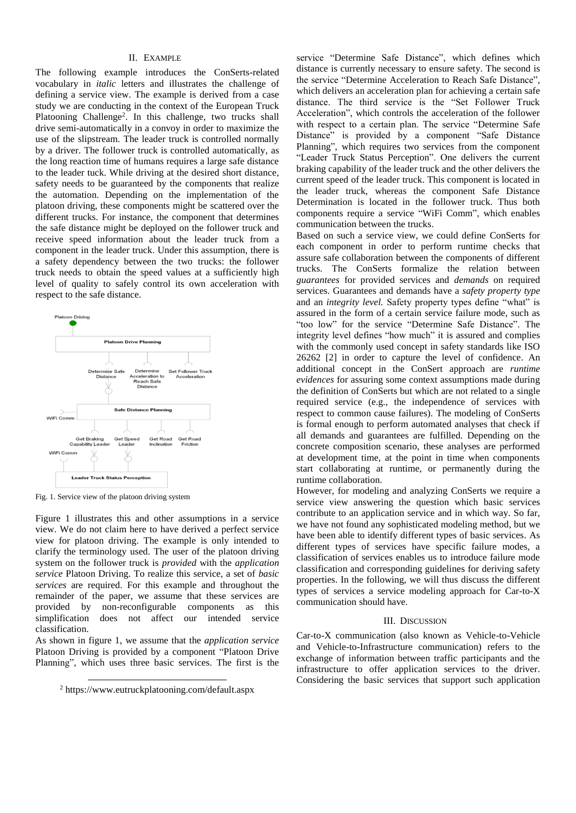#### II. EXAMPLE

The following example introduces the ConSerts-related vocabulary in *italic* letters and illustrates the challenge of defining a service view. The example is derived from a case study we are conducting in the context of the European Truck Platooning Challenge<sup>2</sup>. In this challenge, two trucks shall drive semi-automatically in a convoy in order to maximize the use of the slipstream. The leader truck is controlled normally by a driver. The follower truck is controlled automatically, as the long reaction time of humans requires a large safe distance to the leader tuck. While driving at the desired short distance, safety needs to be guaranteed by the components that realize the automation. Depending on the implementation of the platoon driving, these components might be scattered over the different trucks. For instance, the component that determines the safe distance might be deployed on the follower truck and receive speed information about the leader truck from a component in the leader truck. Under this assumption, there is a safety dependency between the two trucks: the follower truck needs to obtain the speed values at a sufficiently high level of quality to safely control its own acceleration with respect to the safe distance.



Fig. 1. Service view of the platoon driving system

1

Figure 1 illustrates this and other assumptions in a service view. We do not claim here to have derived a perfect service view for platoon driving. The example is only intended to clarify the terminology used. The user of the platoon driving system on the follower truck is *provided* with the *application service* Platoon Driving. To realize this service, a set of *basic services* are required. For this example and throughout the remainder of the paper, we assume that these services are provided by non-reconfigurable components as this simplification does not affect our intended service classification.

As shown in figure 1, we assume that the *application service* Platoon Driving is provided by a component "Platoon Drive Planning", which uses three basic services. The first is the service "Determine Safe Distance", which defines which distance is currently necessary to ensure safety. The second is the service "Determine Acceleration to Reach Safe Distance", which delivers an acceleration plan for achieving a certain safe distance. The third service is the "Set Follower Truck Acceleration", which controls the acceleration of the follower with respect to a certain plan. The service "Determine Safe Distance" is provided by a component "Safe Distance Planning", which requires two services from the component "Leader Truck Status Perception". One delivers the current braking capability of the leader truck and the other delivers the current speed of the leader truck. This component is located in the leader truck, whereas the component Safe Distance Determination is located in the follower truck. Thus both components require a service "WiFi Comm", which enables communication between the trucks.

Based on such a service view, we could define ConSerts for each component in order to perform runtime checks that assure safe collaboration between the components of different trucks. The ConSerts formalize the relation between *guarantees* for provided services and *demands* on required services. Guarantees and demands have a *safety property type* and an *integrity level.* Safety property types define "what" is assured in the form of a certain service failure mode, such as "too low" for the service "Determine Safe Distance". The integrity level defines "how much" it is assured and complies with the commonly used concept in safety standards like ISO 26262 [2] in order to capture the level of confidence. An additional concept in the ConSert approach are *runtime evidences* for assuring some context assumptions made during the definition of ConSerts but which are not related to a single required service (e.g., the independence of services with respect to common cause failures). The modeling of ConSerts is formal enough to perform automated analyses that check if all demands and guarantees are fulfilled. Depending on the concrete composition scenario, these analyses are performed at development time, at the point in time when components start collaborating at runtime, or permanently during the runtime collaboration.

However, for modeling and analyzing ConSerts we require a service view answering the question which basic services contribute to an application service and in which way. So far, we have not found any sophisticated modeling method, but we have been able to identify different types of basic services. As different types of services have specific failure modes, a classification of services enables us to introduce failure mode classification and corresponding guidelines for deriving safety properties. In the following, we will thus discuss the different types of services a service modeling approach for Car-to-X communication should have.

#### III. DISCUSSION

Car-to-X communication (also known as Vehicle-to-Vehicle and Vehicle-to-Infrastructure communication) refers to the exchange of information between traffic participants and the infrastructure to offer application services to the driver. Considering the basic services that support such application

<sup>2</sup> https://www.eutruckplatooning.com/default.aspx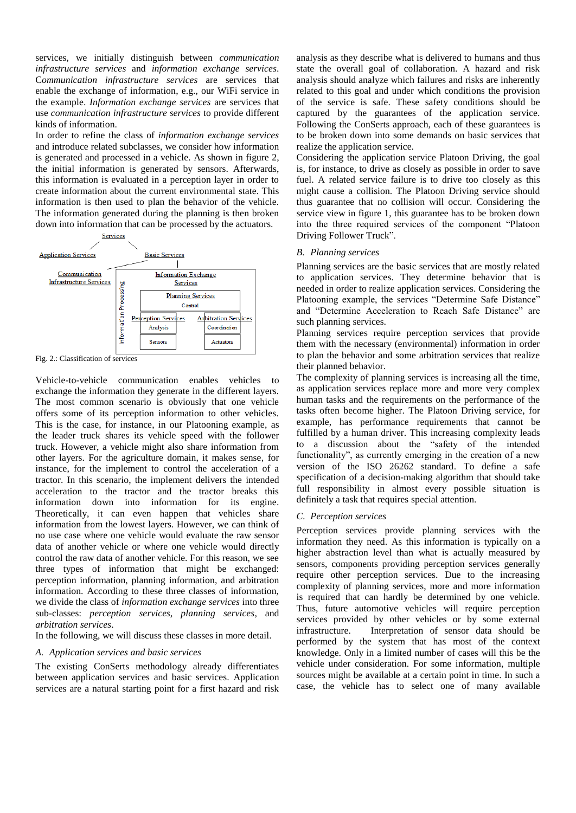services, we initially distinguish between *communication infrastructure services* and *information exchange services*. C*ommunication infrastructure services* are services that enable the exchange of information, e.g., our WiFi service in the example. *Information exchange services* are services that use *communication infrastructure services* to provide different kinds of information.

In order to refine the class of *information exchange services* and introduce related subclasses, we consider how information is generated and processed in a vehicle. As shown in figure 2, the initial information is generated by sensors. Afterwards, this information is evaluated in a perception layer in order to create information about the current environmental state. This information is then used to plan the behavior of the vehicle. The information generated during the planning is then broken down into information that can be processed by the actuators.



Fig. 2.: Classification of services

Vehicle-to-vehicle communication enables vehicles to exchange the information they generate in the different layers. The most common scenario is obviously that one vehicle offers some of its perception information to other vehicles. This is the case, for instance, in our Platooning example, as the leader truck shares its vehicle speed with the follower truck. However, a vehicle might also share information from other layers. For the agriculture domain, it makes sense, for instance, for the implement to control the acceleration of a tractor. In this scenario, the implement delivers the intended acceleration to the tractor and the tractor breaks this information down into information for its engine. Theoretically, it can even happen that vehicles share information from the lowest layers. However, we can think of no use case where one vehicle would evaluate the raw sensor data of another vehicle or where one vehicle would directly control the raw data of another vehicle. For this reason, we see three types of information that might be exchanged: perception information, planning information, and arbitration information. According to these three classes of information, we divide the class of *information exchange services* into three sub-classes: *perception services, planning services,* and *arbitration services*.

In the following, we will discuss these classes in more detail.

#### *A. Application services and basic services*

The existing ConSerts methodology already differentiates between application services and basic services. Application services are a natural starting point for a first hazard and risk analysis as they describe what is delivered to humans and thus state the overall goal of collaboration. A hazard and risk analysis should analyze which failures and risks are inherently related to this goal and under which conditions the provision of the service is safe. These safety conditions should be captured by the guarantees of the application service. Following the ConSerts approach, each of these guarantees is to be broken down into some demands on basic services that realize the application service.

Considering the application service Platoon Driving, the goal is, for instance, to drive as closely as possible in order to save fuel. A related service failure is to drive too closely as this might cause a collision. The Platoon Driving service should thus guarantee that no collision will occur. Considering the service view in figure 1, this guarantee has to be broken down into the three required services of the component "Platoon Driving Follower Truck".

#### *B. Planning services*

Planning services are the basic services that are mostly related to application services. They determine behavior that is needed in order to realize application services. Considering the Platooning example, the services "Determine Safe Distance" and "Determine Acceleration to Reach Safe Distance" are such planning services.

Planning services require perception services that provide them with the necessary (environmental) information in order to plan the behavior and some arbitration services that realize their planned behavior.

The complexity of planning services is increasing all the time, as application services replace more and more very complex human tasks and the requirements on the performance of the tasks often become higher. The Platoon Driving service, for example, has performance requirements that cannot be fulfilled by a human driver. This increasing complexity leads to a discussion about the "safety of the intended functionality", as currently emerging in the creation of a new version of the ISO 26262 standard. To define a safe specification of a decision-making algorithm that should take full responsibility in almost every possible situation is definitely a task that requires special attention.

#### *C. Perception services*

Perception services provide planning services with the information they need. As this information is typically on a higher abstraction level than what is actually measured by sensors, components providing perception services generally require other perception services. Due to the increasing complexity of planning services, more and more information is required that can hardly be determined by one vehicle. Thus, future automotive vehicles will require perception services provided by other vehicles or by some external infrastructure. Interpretation of sensor data should be performed by the system that has most of the context knowledge. Only in a limited number of cases will this be the vehicle under consideration. For some information, multiple sources might be available at a certain point in time. In such a case, the vehicle has to select one of many available